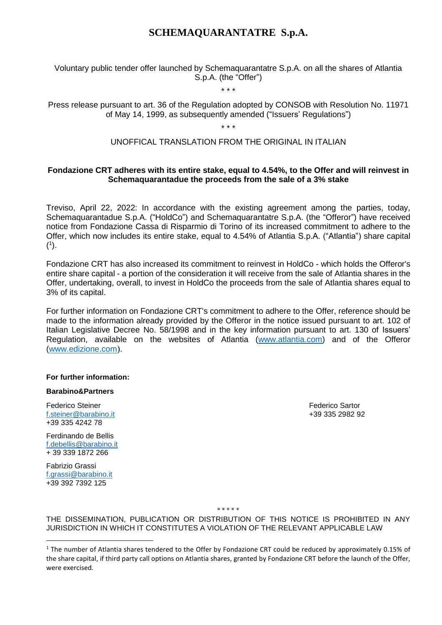## **SCHEMAQUARANTATRE S.p.A.**

### Voluntary public tender offer launched by Schemaquarantatre S.p.A. on all the shares of Atlantia S.p.A. (the "Offer")

\* \* \*

Press release pursuant to art. 36 of the Regulation adopted by CONSOB with Resolution No. 11971 of May 14, 1999, as subsequently amended ("Issuers' Regulations")

\* \* \*

### UNOFFICAL TRANSLATION FROM THE ORIGINAL IN ITALIAN

### **Fondazione CRT adheres with its entire stake, equal to 4.54%, to the Offer and will reinvest in Schemaquarantadue the proceeds from the sale of a 3% stake**

Treviso, April 22, 2022: In accordance with the existing agreement among the parties, today, Schemaquarantadue S.p.A. ("HoldCo") and Schemaquarantatre S.p.A. (the "Offeror") have received notice from Fondazione Cassa di Risparmio di Torino of its increased commitment to adhere to the Offer, which now includes its entire stake, equal to 4.54% of Atlantia S.p.A. ("Atlantia") share capital  $(1)$ .

Fondazione CRT has also increased its commitment to reinvest in HoldCo - which holds the Offeror's entire share capital - a portion of the consideration it will receive from the sale of Atlantia shares in the Offer, undertaking, overall, to invest in HoldCo the proceeds from the sale of Atlantia shares equal to 3% of its capital.

For further information on Fondazione CRT's commitment to adhere to the Offer, reference should be made to the information already provided by the Offeror in the notice issued pursuant to art. 102 of Italian Legislative Decree No. 58/1998 and in the key information pursuant to art. 130 of Issuers' Regulation, available on the websites of Atlantia [\(www.atlantia.com\)](http://www.atlantia.com/) and of the Offeror [\(www.edizione.com](http://www.edizione.com/)).

#### **For further information:**

#### **Barabino&Partners**

**Federico Steiner Federico Steiner Federico Sartor** [f.steiner@barabino.it](mailto:f.steiner@barabino.it) +39 335 2982 92 +39 335 4242 78

Ferdinando de Bellis [f.debellis@barabino.it](mailto:f.debellis@barabino.it) + 39 339 1872 266

Fabrizio Grassi [f.grassi@barabino.it](mailto:f.grassi@barabino.it) +39 392 7392 125

 $\overline{a}$ 

\* \* \* \* \*

THE DISSEMINATION, PUBLICATION OR DISTRIBUTION OF THIS NOTICE IS PROHIBITED IN ANY JURISDICTION IN WHICH IT CONSTITUTES A VIOLATION OF THE RELEVANT APPLICABLE LAW

<sup>&</sup>lt;sup>1</sup> The number of Atlantia shares tendered to the Offer by Fondazione CRT could be reduced by approximately 0.15% of the share capital, if third party call options on Atlantia shares, granted by Fondazione CRT before the launch of the Offer, were exercised.